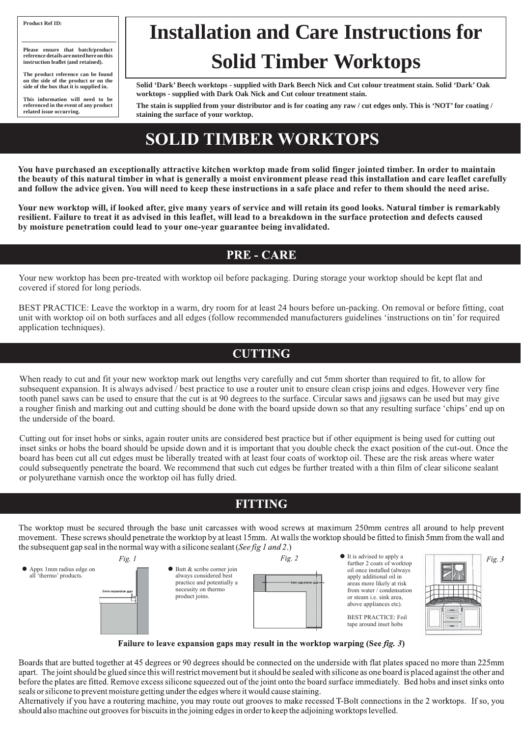**You have purchased an exceptionally attractive kitchen worktop made from solid finger jointed timber. In order to maintain the beauty of this natural timber in what is generally a moist environment please read this installation and care leaflet carefully and follow the advice given. You will need to keep these instructions in a safe place and refer to them should the need arise.**

**Your new worktop will, if looked after, give many years of service and will retain its good looks. Natural timber is remarkably resilient. Failure to treat it as advised in this leaflet, will lead to a breakdown in the surface protection and defects caused by moisture penetration could lead to your one-year guarantee being invalidated.**

### **PRE - CARE**

Your new worktop has been pre-treated with worktop oil before packaging. During storage your worktop should be kept flat and covered if stored for long periods.

BEST PRACTICE: Leave the worktop in a warm, dry room for at least 24 hours before un-packing. On removal or before fitting, coat unit with worktop oil on both surfaces and all edges (follow recommended manufacturers guidelines 'instructions on tin' for required application techniques).

### **CUTTING**

**Please ensure that batch/product reference details are noted here on this instruction leaflet (and retained).** 

When ready to cut and fit your new worktop mark out lengths very carefully and cut 5mm shorter than required to fit, to allow for subsequent expansion. It is always advised / best practice to use a router unit to ensure clean crisp joins and edges. However very fine tooth panel saws can be used to ensure that the cut is at 90 degrees to the surface. Circular saws and jigsaws can be used but may give a rougher finish and marking out and cutting should be done with the board upside down so that any resulting surface 'chips' end up on the underside of the board.

Cutting out for inset hobs or sinks, again router units are considered best practice but if other equipment is being used for cutting out inset sinks or hobs the board should be upside down and it is important that you double check the exact position of the cut-out. Once the board has been cut all cut edges must be liberally treated with at least four coats of worktop oil. These are the risk areas where water could subsequently penetrate the board. We recommend that such cut edges be further treated with a thin film of clear silicone sealant or polyurethane varnish once the worktop oil has fully dried.

#### **FITTING**

The worktop must be secured through the base unit carcasses with wood screws at maximum 250mm centres all around to help prevent movement. These screws should penetrate the worktop by at least 15mm. At walls the worktop should be fitted to finish 5mm from the wall and the subsequent gap seal in the normal way with a silicone sealant (See fig 1 and 2.)





*Fig.* 3

Failure to leave expansion gaps may result in the worktop warping (See fig. 3)

Boards that are butted together at 45 degrees or 90 degrees should be connected on the underside with flat plates spaced no more than 225mm apart. The joint should be glued since this will restrict movement but it should be sealed with silicone as one board is placed against the other and before the plates are fitted. Remove excess silicone squeezed out of the joint onto the board surface immediately. Bed hobs and inset sinks onto seals or silicone to prevent moisture getting under the edges where it would cause staining.

Alternatively if you have a routering machine, you may route out grooves to make recessed T-Bolt connections in the 2 worktops. If so, you should also machine out grooves for biscuits in the joining edges in order to keep the adjoining worktops levelled.

It is advised to apply a further 2 coats of worktop oil once installed (always apply additional oil in areas more likely at risk from water / condensation or steam i.e. sink area, above appliances etc). BEST PRACTICE: Foil tape around inset hobs

## **SOLID TIMBER WORKTOPS**

#### **Product Ref ID:**

**The product reference can be found on the side of the product or on the side of the box that it is supplied in.**

**This information will need to be referenced in the event of any product related issue occurring.**

**Solid 'Dark' Beech worktops - supplied with Dark Beech Nick and Cut colour treatment stain. Solid 'Dark' Oak worktops - supplied with Dark Oak Nick and Cut colour treatment stain.**

**The stain is supplied from your distributor and is for coating any raw / cut edges only. This is 'NOT' for coating / staining the surface of your worktop.**

# **Installation and Care Instructions for Solid Timber Worktops**